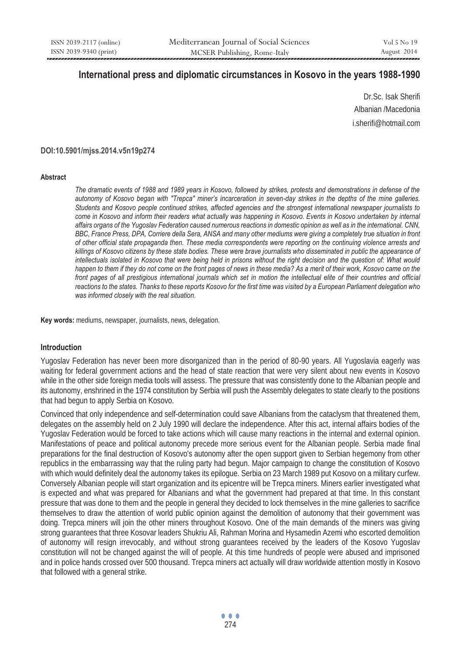# **International press and diplomatic circumstances in Kosovo in the years 1988-1990**

Dr.Sc. Isak Sherifi Albanian /Macedonia i.sherifi@hotmail.com

#### **DOI:10.5901/mjss.2014.v5n19p274**

#### **Abstract**

*The dramatic events of 1988 and 1989 years in Kosovo, followed by strikes, protests and demonstrations in defense of the autonomy of Kosovo began with "Trepca" miner's incarceration in seven-day strikes in the depths of the mine galleries. Students and Kosovo people continued strikes, affected agencies and the strongest international newspaper journalists to come in Kosovo and inform their readers what actually was happening in Kosovo. Events in Kosovo undertaken by internal affairs organs of the Yugoslav Federation caused numerous reactions in domestic opinion as well as in the international. CNN, BBC, France Press, DPA, Corriere della Sera, ANSA and many other mediums were giving a completely true situation in front of other official state propaganda then. These media correspondents were reporting on the continuing violence arrests and killings of Kosovo citizens by these state bodies. These were brave journalists who disseminated in public the appearance of intellectuals isolated in Kosovo that were being held in prisons without the right decision and the question of: What would happen to them if they do not come on the front pages of news in these media? As a merit of their work, Kosovo came on the* front pages of all prestigious international journals which set in motion the intellectual elite of their countries and official *reactions to the states. Thanks to these reports Kosovo for the first time was visited by a European Parliament delegation who was informed closely with the real situation*.

**Key words:** mediums, newspaper, journalists, news, delegation.

### **Introduction**

Yugoslav Federation has never been more disorganized than in the period of 80-90 years. All Yugoslavia eagerly was waiting for federal government actions and the head of state reaction that were very silent about new events in Kosovo while in the other side foreign media tools will assess. The pressure that was consistently done to the Albanian people and its autonomy, enshrined in the 1974 constitution by Serbia will push the Assembly delegates to state clearly to the positions that had begun to apply Serbia on Kosovo.

Convinced that only independence and self-determination could save Albanians from the cataclysm that threatened them, delegates on the assembly held on 2 July 1990 will declare the independence. After this act, internal affairs bodies of the Yugoslav Federation would be forced to take actions which will cause many reactions in the internal and external opinion. Manifestations of peace and political autonomy precede more serious event for the Albanian people. Serbia made final preparations for the final destruction of Kosovo's autonomy after the open support given to Serbian hegemony from other republics in the embarrassing way that the ruling party had begun. Major campaign to change the constitution of Kosovo with which would definitely deal the autonomy takes its epilogue. Serbia on 23 March 1989 put Kosovo on a military curfew. Conversely Albanian people will start organization and its epicentre will be Trepca miners. Miners earlier investigated what is expected and what was prepared for Albanians and what the government had prepared at that time. In this constant pressure that was done to them and the people in general they decided to lock themselves in the mine galleries to sacrifice themselves to draw the attention of world public opinion against the demolition of autonomy that their government was doing. Trepca miners will join the other miners throughout Kosovo. One of the main demands of the miners was giving strong guarantees that three Kosovar leaders Shukriu Ali, Rahman Morina and Hysamedin Azemi who escorted demolition of autonomy will resign irrevocably, and without strong guarantees received by the leaders of the Kosovo Yugoslav constitution will not be changed against the will of people. At this time hundreds of people were abused and imprisoned and in police hands crossed over 500 thousand. Trepca miners act actually will draw worldwide attention mostly in Kosovo that followed with a general strike.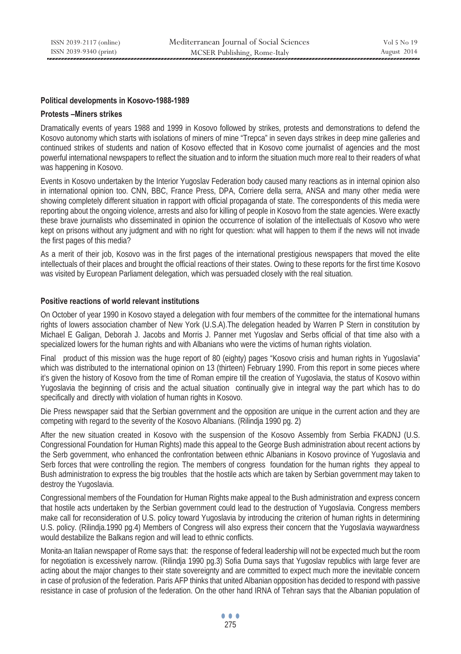#### **Political developments in Kosovo-1988-1989**

#### **Protests –Miners strikes**

Dramatically events of years 1988 and 1999 in Kosovo followed by strikes, protests and demonstrations to defend the Kosovo autonomy which starts with isolations of miners of mine "Trepca" in seven days strikes in deep mine galleries and continued strikes of students and nation of Kosovo effected that in Kosovo come journalist of agencies and the most powerful international newspapers to reflect the situation and to inform the situation much more real to their readers of what was happening in Kosovo.

Events in Kosovo undertaken by the Interior Yugoslav Federation body caused many reactions as in internal opinion also in international opinion too. CNN, BBC, France Press, DPA, Corriere della serra, ANSA and many other media were showing completely different situation in rapport with official propaganda of state. The correspondents of this media were reporting about the ongoing violence, arrests and also for killing of people in Kosovo from the state agencies. Were exactly these brave journalists who disseminated in opinion the occurrence of isolation of the intellectuals of Kosovo who were kept on prisons without any judgment and with no right for question: what will happen to them if the news will not invade the first pages of this media?

As a merit of their job, Kosovo was in the first pages of the international prestigious newspapers that moved the elite intellectuals of their places and brought the official reactions of their states. Owing to these reports for the first time Kosovo was visited by European Parliament delegation, which was persuaded closely with the real situation.

#### **Positive reactions of world relevant institutions**

On October of year 1990 in Kosovo stayed a delegation with four members of the committee for the international humans rights of lowers association chamber of New York (U.S.A).The delegation headed by Warren P Stern in constitution by Michael E Galigan, Deborah J. Jacobs and Morris J. Panner met Yugoslav and Serbs official of that time also with a specialized lowers for the human rights and with Albanians who were the victims of human rights violation.

Final product of this mission was the huge report of 80 (eighty) pages "Kosovo crisis and human rights in Yugoslavia" which was distributed to the international opinion on 13 (thirteen) February 1990. From this report in some pieces where it's given the history of Kosovo from the time of Roman empire till the creation of Yugoslavia, the status of Kosovo within Yugoslavia the beginning of crisis and the actual situation continually give in integral way the part which has to do specifically and directly with violation of human rights in Kosovo.

Die Press newspaper said that the Serbian government and the opposition are unique in the current action and they are competing with regard to the severity of the Kosovo Albanians. (Rilindja 1990 pg. 2)

After the new situation created in Kosovo with the suspension of the Kosovo Assembly from Serbia FKADNJ (U.S. Congressional Foundation for Human Rights) made this appeal to the George Bush administration about recent actions by the Serb government, who enhanced the confrontation between ethnic Albanians in Kosovo province of Yugoslavia and Serb forces that were controlling the region. The members of congress foundation for the human rights they appeal to Bush administration to express the big troubles that the hostile acts which are taken by Serbian government may taken to destroy the Yugoslavia.

Congressional members of the Foundation for Human Rights make appeal to the Bush administration and express concern that hostile acts undertaken by the Serbian government could lead to the destruction of Yugoslavia. Congress members make call for reconsideration of U.S. policy toward Yugoslavia by introducing the criterion of human rights in determining U.S. policy. (Rilindja.1990 pg.4) Members of Congress will also express their concern that the Yugoslavia waywardness would destabilize the Balkans region and will lead to ethnic conflicts.

Monita-an Italian newspaper of Rome says that: the response of federal leadership will not be expected much but the room for negotiation is excessively narrow. (Rilindja 1990 pg.3) Sofia Duma says that Yugoslav republics with large fever are acting about the major changes to their state sovereignty and are committed to expect much more the inevitable concern in case of profusion of the federation. Paris AFP thinks that united Albanian opposition has decided to respond with passive resistance in case of profusion of the federation. On the other hand IRNA of Tehran says that the Albanian population of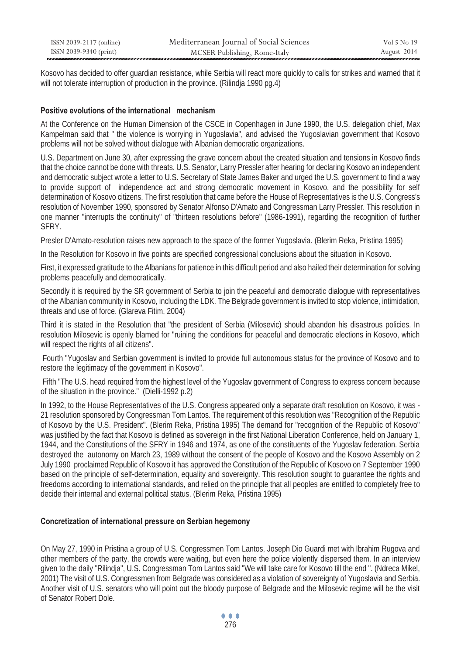| ISSN 2039-2117 (online) | Mediterranean Journal of Social Sciences | Vol 5 No 19 |
|-------------------------|------------------------------------------|-------------|
| ISSN 2039-9340 (print)  | MCSER Publishing, Rome-Italy             | August 2014 |

Kosovo has decided to offer guardian resistance, while Serbia will react more quickly to calls for strikes and warned that it will not tolerate interruption of production in the province. (Rilindia 1990 pg.4)

#### **Positive evolutions of the international mechanism**

At the Conference on the Human Dimension of the CSCE in Copenhagen in June 1990, the U.S. delegation chief, Max Kampelman said that " the violence is worrying in Yugoslavia", and advised the Yugoslavian government that Kosovo problems will not be solved without dialogue with Albanian democratic organizations.

U.S. Department on June 30, after expressing the grave concern about the created situation and tensions in Kosovo finds that the choice cannot be done with threats. U.S. Senator, Larry Pressler after hearing for declaring Kosovo an independent and democratic subject wrote a letter to U.S. Secretary of State James Baker and urged the U.S. government to find a way to provide support of independence act and strong democratic movement in Kosovo, and the possibility for self determination of Kosovo citizens. The first resolution that came before the House of Representatives is the U.S. Congress's resolution of November 1990, sponsored by Senator Alfonso D'Amato and Congressman Larry Pressler. This resolution in one manner "interrupts the continuity" of "thirteen resolutions before" (1986-1991), regarding the recognition of further SFRY.

Presler D'Amato-resolution raises new approach to the space of the former Yugoslavia. (Blerim Reka, Pristina 1995)

In the Resolution for Kosovo in five points are specified congressional conclusions about the situation in Kosovo.

First, it expressed gratitude to the Albanians for patience in this difficult period and also hailed their determination for solving problems peacefully and democratically.

Secondly it is required by the SR government of Serbia to join the peaceful and democratic dialogue with representatives of the Albanian community in Kosovo, including the LDK. The Belgrade government is invited to stop violence, intimidation, threats and use of force. (Glareva Fitim, 2004)

Third it is stated in the Resolution that "the president of Serbia (Milosevic) should abandon his disastrous policies. In resolution Milosevic is openly blamed for "ruining the conditions for peaceful and democratic elections in Kosovo, which will respect the rights of all citizens".

 Fourth "Yugoslav and Serbian government is invited to provide full autonomous status for the province of Kosovo and to restore the legitimacy of the government in Kosovo".

 Fifth "The U.S. head required from the highest level of the Yugoslav government of Congress to express concern because of the situation in the province." (Dielli-1992 p.2)

In 1992, to the House Representatives of the U.S. Congress appeared only a separate draft resolution on Kosovo, it was - 21 resolution sponsored by Congressman Tom Lantos. The requirement of this resolution was "Recognition of the Republic of Kosovo by the U.S. President". (Blerim Reka, Pristina 1995) The demand for "recognition of the Republic of Kosovo" was justified by the fact that Kosovo is defined as sovereign in the first National Liberation Conference, held on January 1, 1944, and the Constitutions of the SFRY in 1946 and 1974, as one of the constituents of the Yugoslav federation. Serbia destroyed the autonomy on March 23, 1989 without the consent of the people of Kosovo and the Kosovo Assembly on 2 July 1990 proclaimed Republic of Kosovo it has approved the Constitution of the Republic of Kosovo on 7 September 1990 based on the principle of self-determination, equality and sovereignty. This resolution sought to guarantee the rights and freedoms according to international standards, and relied on the principle that all peoples are entitled to completely free to decide their internal and external political status. (Blerim Reka, Pristina 1995)

### **Concretization of international pressure on Serbian hegemony**

On May 27, 1990 in Pristina a group of U.S. Congressmen Tom Lantos, Joseph Dio Guardi met with Ibrahim Rugova and other members of the party, the crowds were waiting, but even here the police violently dispersed them. In an interview given to the daily "Rilindja", U.S. Congressman Tom Lantos said "We will take care for Kosovo till the end ". (Ndreca Mikel, 2001) The visit of U.S. Congressmen from Belgrade was considered as a violation of sovereignty of Yugoslavia and Serbia. Another visit of U.S. senators who will point out the bloody purpose of Belgrade and the Milosevic regime will be the visit of Senator Robert Dole.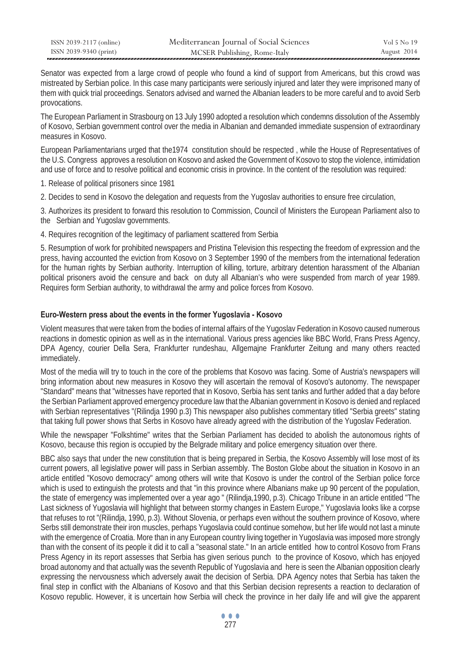| ISSN 2039-2117 (online) | Mediterranean Journal of Social Sciences | Vol 5 No 19 |
|-------------------------|------------------------------------------|-------------|
| ISSN 2039-9340 (print)  | MCSER Publishing, Rome-Italy             | August 2014 |

Senator was expected from a large crowd of people who found a kind of support from Americans, but this crowd was mistreated by Serbian police. In this case many participants were seriously injured and later they were imprisoned many of them with quick trial proceedings. Senators advised and warned the Albanian leaders to be more careful and to avoid Serb provocations.

The European Parliament in Strasbourg on 13 July 1990 adopted a resolution which condemns dissolution of the Assembly of Kosovo, Serbian government control over the media in Albanian and demanded immediate suspension of extraordinary measures in Kosovo.

European Parliamentarians urged that the1974 constitution should be respected , while the House of Representatives of the U.S. Congress approves a resolution on Kosovo and asked the Government of Kosovo to stop the violence, intimidation and use of force and to resolve political and economic crisis in province. In the content of the resolution was required:

1. Release of political prisoners since 1981

2. Decides to send in Kosovo the delegation and requests from the Yugoslav authorities to ensure free circulation,

3. Authorizes its president to forward this resolution to Commission, Council of Ministers the European Parliament also to the Serbian and Yugoslav governments.

4. Requires recognition of the legitimacy of parliament scattered from Serbia

5. Resumption of work for prohibited newspapers and Pristina Television this respecting the freedom of expression and the press, having accounted the eviction from Kosovo on 3 September 1990 of the members from the international federation for the human rights by Serbian authority. Interruption of killing, torture, arbitrary detention harassment of the Albanian political prisoners avoid the censure and back on duty all Albanian's who were suspended from march of year 1989. Requires form Serbian authority, to withdrawal the army and police forces from Kosovo.

## **Euro-Western press about the events in the former Yugoslavia - Kosovo**

Violent measures that were taken from the bodies of internal affairs of the Yugoslav Federation in Kosovo caused numerous reactions in domestic opinion as well as in the international. Various press agencies like BBC World, Frans Press Agency, DPA Agency, courier Della Sera, Frankfurter rundeshau, Allgemajne Frankfurter Zeitung and many others reacted immediately.

Most of the media will try to touch in the core of the problems that Kosovo was facing. Some of Austria's newspapers will bring information about new measures in Kosovo they will ascertain the removal of Kosovo's autonomy. The newspaper "Standard" means that "witnesses have reported that in Kosovo, Serbia has sent tanks and further added that a day before the Serbian Parliament approved emergency procedure law that the Albanian government in Kosovo is denied and replaced with Serbian representatives "(Rilindja 1990 p.3) This newspaper also publishes commentary titled "Serbia greets" stating that taking full power shows that Serbs in Kosovo have already agreed with the distribution of the Yugoslav Federation.

While the newspaper "Folkshtime" writes that the Serbian Parliament has decided to abolish the autonomous rights of Kosovo, because this region is occupied by the Belgrade military and police emergency situation over there.

BBC also says that under the new constitution that is being prepared in Serbia, the Kosovo Assembly will lose most of its current powers, all legislative power will pass in Serbian assembly. The Boston Globe about the situation in Kosovo in an article entitled "Kosovo democracy" among others will write that Kosovo is under the control of the Serbian police force which is used to extinguish the protests and that "in this province where Albanians make up 90 percent of the population, the state of emergency was implemented over a year ago " (Rilindja,1990, p.3). Chicago Tribune in an article entitled "The Last sickness of Yugoslavia will highlight that between stormy changes in Eastern Europe," Yugoslavia looks like a corpse that refuses to rot "(Rilindja, 1990, p.3). Without Slovenia, or perhaps even without the southern province of Kosovo, where Serbs still demonstrate their iron muscles, perhaps Yugoslavia could continue somehow, but her life would not last a minute with the emergence of Croatia. More than in any European country living together in Yugoslavia was imposed more strongly than with the consent of its people it did it to call a "seasonal state." In an article entitled how to control Kosovo from Frans Press Agency in its report assesses that Serbia has given serious punch to the province of Kosovo, which has enjoyed broad autonomy and that actually was the seventh Republic of Yugoslavia and here is seen the Albanian opposition clearly expressing the nervousness which adversely await the decision of Serbia. DPA Agency notes that Serbia has taken the final step in conflict with the Albanians of Kosovo and that this Serbian decision represents a reaction to declaration of Kosovo republic. However, it is uncertain how Serbia will check the province in her daily life and will give the apparent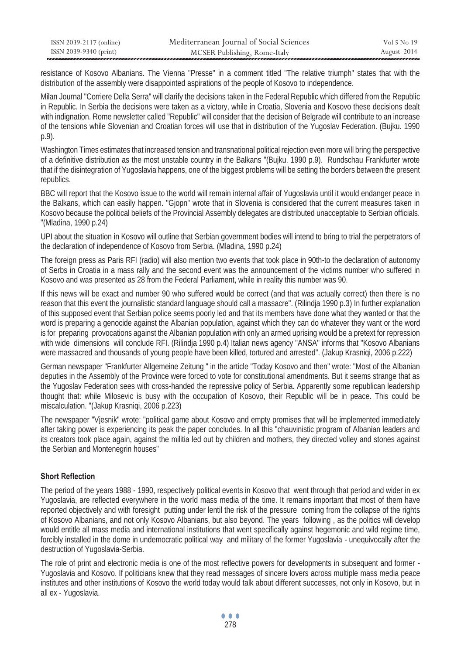| ISSN 2039-2117 (online) | Mediterranean Journal of Social Sciences | Vol 5 No 19 |
|-------------------------|------------------------------------------|-------------|
| ISSN 2039-9340 (print)  | MCSER Publishing, Rome-Italy             | August 2014 |

resistance of Kosovo Albanians. The Vienna "Presse" in a comment titled "The relative triumph" states that with the distribution of the assembly were disappointed aspirations of the people of Kosovo to independence.

Milan Journal "Corriere Della Serra" will clarify the decisions taken in the Federal Republic which differed from the Republic in Republic. In Serbia the decisions were taken as a victory, while in Croatia, Slovenia and Kosovo these decisions dealt with indignation. Rome newsletter called "Republic" will consider that the decision of Belgrade will contribute to an increase of the tensions while Slovenian and Croatian forces will use that in distribution of the Yugoslav Federation. (Bujku. 1990 p.9).

Washington Times estimates that increased tension and transnational political rejection even more will bring the perspective of a definitive distribution as the most unstable country in the Balkans "(Bujku. 1990 p.9). Rundschau Frankfurter wrote that if the disintegration of Yugoslavia happens, one of the biggest problems will be setting the borders between the present republics.

BBC will report that the Kosovo issue to the world will remain internal affair of Yugoslavia until it would endanger peace in the Balkans, which can easily happen. "Gjopn" wrote that in Slovenia is considered that the current measures taken in Kosovo because the political beliefs of the Provincial Assembly delegates are distributed unacceptable to Serbian officials. "(Mladina, 1990 p.24)

UPI about the situation in Kosovo will outline that Serbian government bodies will intend to bring to trial the perpetrators of the declaration of independence of Kosovo from Serbia. (Mladina, 1990 p.24)

The foreign press as Paris RFI (radio) will also mention two events that took place in 90th-to the declaration of autonomy of Serbs in Croatia in a mass rally and the second event was the announcement of the victims number who suffered in Kosovo and was presented as 28 from the Federal Parliament, while in reality this number was 90.

If this news will be exact and number 90 who suffered would be correct (and that was actually correct) then there is no reason that this event the journalistic standard language should call a massacre". (Rilindja 1990 p.3) In further explanation of this supposed event that Serbian police seems poorly led and that its members have done what they wanted or that the word is preparing a genocide against the Albanian population, against which they can do whatever they want or the word is for preparing provocations against the Albanian population with only an armed uprising would be a pretext for repression with wide dimensions will conclude RFI. (Rilindja 1990 p.4) Italian news agency "ANSA" informs that "Kosovo Albanians were massacred and thousands of young people have been killed, tortured and arrested". (Jakup Krasniqi, 2006 p.222)

German newspaper "Frankfurter Allgemeine Zeitung " in the article "Today Kosovo and then" wrote: "Most of the Albanian deputies in the Assembly of the Province were forced to vote for constitutional amendments. But it seems strange that as the Yugoslav Federation sees with cross-handed the repressive policy of Serbia. Apparently some republican leadership thought that: while Milosevic is busy with the occupation of Kosovo, their Republic will be in peace. This could be miscalculation. "(Jakup Krasniqi, 2006 p.223)

The newspaper "Vjesnik" wrote: "political game about Kosovo and empty promises that will be implemented immediately after taking power is experiencing its peak the paper concludes. In all this "chauvinistic program of Albanian leaders and its creators took place again, against the militia led out by children and mothers, they directed volley and stones against the Serbian and Montenegrin houses"

## **Short Reflection**

The period of the years 1988 - 1990, respectively political events in Kosovo that went through that period and wider in ex Yugoslavia, are reflected everywhere in the world mass media of the time. It remains important that most of them have reported objectively and with foresight putting under lentil the risk of the pressure coming from the collapse of the rights of Kosovo Albanians, and not only Kosovo Albanians, but also beyond. The years following , as the politics will develop would entitle all mass media and international institutions that went specifically against hegemonic and wild regime time, forcibly installed in the dome in undemocratic political way and military of the former Yugoslavia - unequivocally after the destruction of Yugoslavia-Serbia.

The role of print and electronic media is one of the most reflective powers for developments in subsequent and former - Yugoslavia and Kosovo. If politicians knew that they read messages of sincere lovers across multiple mass media peace institutes and other institutions of Kosovo the world today would talk about different successes, not only in Kosovo, but in all ex - Yugoslavia.